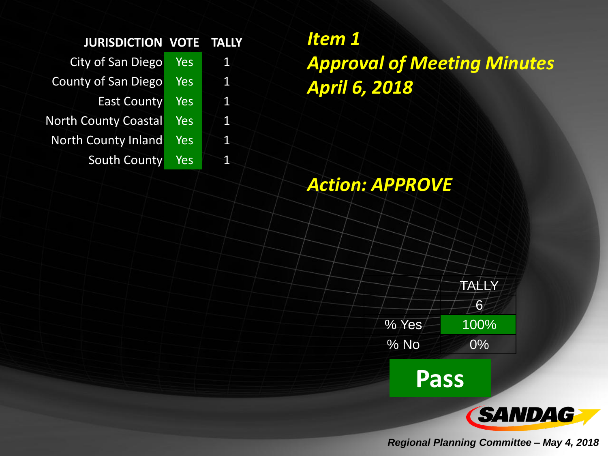| City of San Diego           | <b>Yes</b> | <b>IT</b>       |
|-----------------------------|------------|-----------------|
| County of San Diego         | Yes        | $\mathbf 1$     |
| <b>East County</b>          | Yes        | $\mathbf{1}$    |
| <b>North County Coastal</b> | Yes        | $1\overline{ }$ |
| <b>North County Inland</b>  | Yes        | $\mathbf{1}$    |
| <b>South County</b>         | Yes        | 1               |

*Item 1 Approval of Meeting Minutes April 6, 2018*

## *Action: APPROVE*



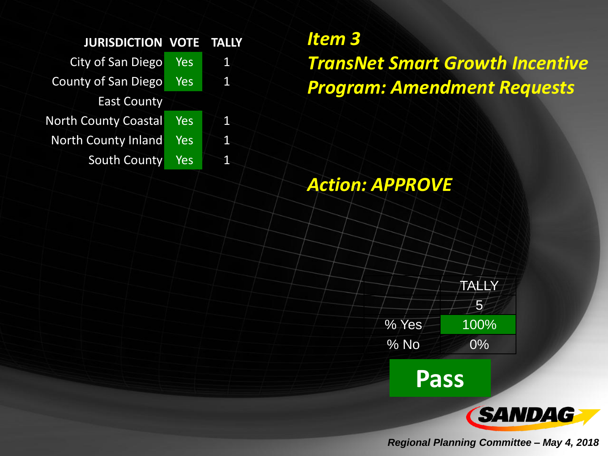City of San Diego Yes 1 County of San Diego Yes 1 East County North County Coastal Yes 1 North County Inland Yes 1 South County Yes 1

*Item 3 TransNet Smart Growth Incentive Program: Amendment Requests*

## *Action: APPROVE*

TALLY  $-5<sup>2</sup>$  $% Yes$  100% % No 0%

**Pass**

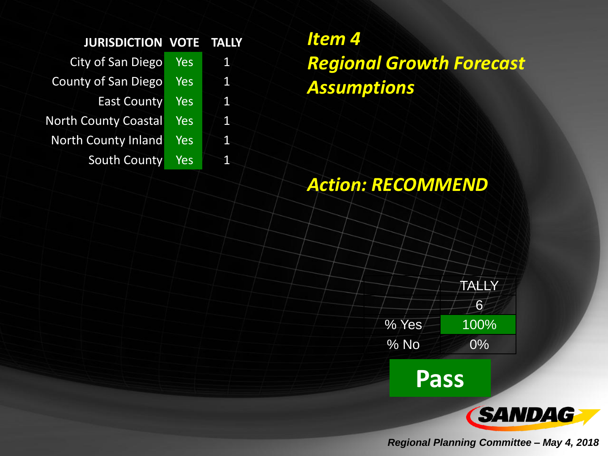| City of San Diego           | <b>Yes</b> | <b>AF</b>       |
|-----------------------------|------------|-----------------|
| <b>County of San Diego</b>  | <b>Yes</b> | $\mathbf 1$     |
| <b>East County</b>          | <b>Yes</b> | $\mathbf{1}$    |
| <b>North County Coastal</b> | Yes        | $1\overline{ }$ |
| <b>North County Inland</b>  | <b>Yes</b> | <b>Ay</b>       |
| South County                | Yes        | Ń.              |

*Item 4 Regional Growth Forecast Assumptions*

# *Action: RECOMMEND*

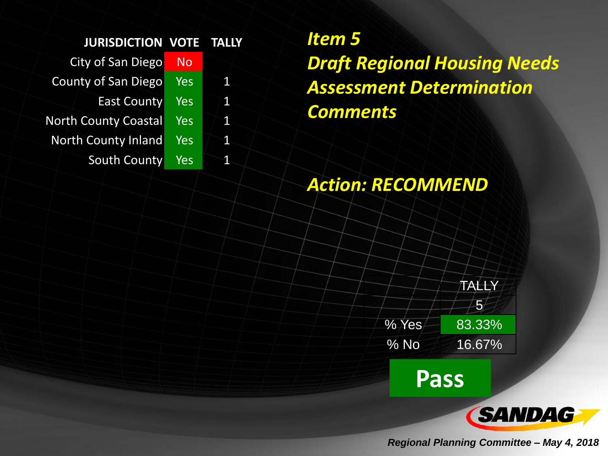| <b>City of San Diego</b>    | <b>No</b>  |   |
|-----------------------------|------------|---|
| <b>County of San Diego</b>  | Yes        | 1 |
| <b>East County</b>          | Yes        | 1 |
| <b>North County Coastal</b> | Yes        | 1 |
| <b>North County Inland</b>  | <b>Yes</b> | 1 |
| South County                | Yes        | 1 |

*Item 5 Draft Regional Housing Needs Assessment Determination Comments*

# *Action: RECOMMEND*